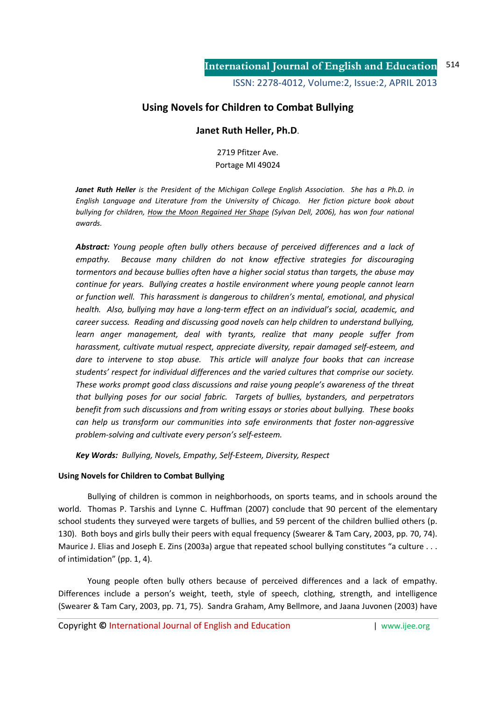# **Using Novels for Children to Combat Bullying**

## **Janet Ruth Heller, Ph.D**.

2719 Pfitzer Ave. Portage MI 49024

*Janet Ruth Heller is the President of the Michigan College English Association. She has a Ph.D. in English Language and Literature from the University of Chicago. Her fiction picture book about bullying for children, How the Moon Regained Her Shape (Sylvan Dell, 2006), has won four national awards.* 

*Abstract: Young people often bully others because of perceived differences and a lack of empathy. Because many children do not know effective strategies for discouraging tormentors and because bullies often have a higher social status than targets, the abuse may continue for years. Bullying creates a hostile environment where young people cannot learn or function well. This harassment is dangerous to children's mental, emotional, and physical health. Also, bullying may have a long-term effect on an individual's social, academic, and career success. Reading and discussing good novels can help children to understand bullying,*  learn anger management, deal with tyrants, realize that many people suffer from *harassment, cultivate mutual respect, appreciate diversity, repair damaged self-esteem, and dare to intervene to stop abuse. This article will analyze four books that can increase students' respect for individual differences and the varied cultures that comprise our society. These works prompt good class discussions and raise young people's awareness of the threat that bullying poses for our social fabric. Targets of bullies, bystanders, and perpetrators benefit from such discussions and from writing essays or stories about bullying. These books can help us transform our communities into safe environments that foster non-aggressive problem-solving and cultivate every person's self-esteem.* 

*Key Words: Bullying, Novels, Empathy, Self-Esteem, Diversity, Respect* 

### **Using Novels for Children to Combat Bullying**

Bullying of children is common in neighborhoods, on sports teams, and in schools around the world. Thomas P. Tarshis and Lynne C. Huffman (2007) conclude that 90 percent of the elementary school students they surveyed were targets of bullies, and 59 percent of the children bullied others (p. 130). Both boys and girls bully their peers with equal frequency (Swearer & Tam Cary, 2003, pp. 70, 74). Maurice J. Elias and Joseph E. Zins (2003a) argue that repeated school bullying constitutes "a culture . . . of intimidation" (pp. 1, 4).

Young people often bully others because of perceived differences and a lack of empathy. Differences include a person's weight, teeth, style of speech, clothing, strength, and intelligence (Swearer & Tam Cary, 2003, pp. 71, 75). Sandra Graham, Amy Bellmore, and Jaana Juvonen (2003) have

Copyright **©** International Journal of English and Education | www.ijee.org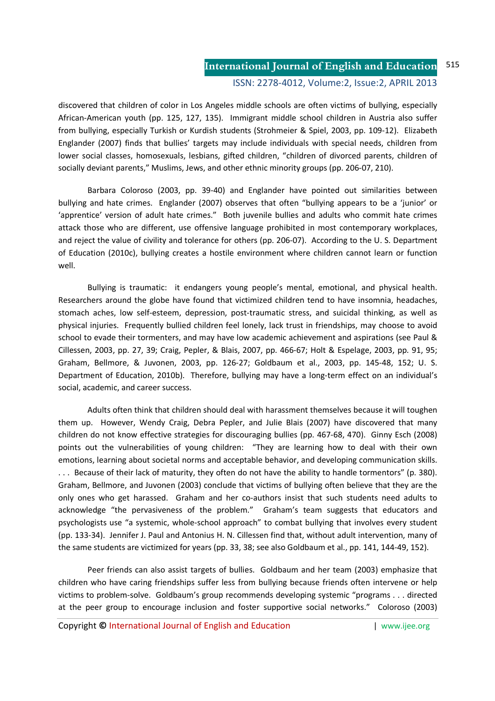discovered that children of color in Los Angeles middle schools are often victims of bullying, especially African-American youth (pp. 125, 127, 135). Immigrant middle school children in Austria also suffer from bullying, especially Turkish or Kurdish students (Strohmeier & Spiel, 2003, pp. 109-12). Elizabeth Englander (2007) finds that bullies' targets may include individuals with special needs, children from lower social classes, homosexuals, lesbians, gifted children, "children of divorced parents, children of socially deviant parents," Muslims, Jews, and other ethnic minority groups (pp. 206-07, 210).

Barbara Coloroso (2003, pp. 39-40) and Englander have pointed out similarities between bullying and hate crimes. Englander (2007) observes that often "bullying appears to be a 'junior' or 'apprentice' version of adult hate crimes." Both juvenile bullies and adults who commit hate crimes attack those who are different, use offensive language prohibited in most contemporary workplaces, and reject the value of civility and tolerance for others (pp. 206-07). According to the U. S. Department of Education (2010c), bullying creates a hostile environment where children cannot learn or function well.

Bullying is traumatic: it endangers young people's mental, emotional, and physical health. Researchers around the globe have found that victimized children tend to have insomnia, headaches, stomach aches, low self-esteem, depression, post-traumatic stress, and suicidal thinking, as well as physical injuries. Frequently bullied children feel lonely, lack trust in friendships, may choose to avoid school to evade their tormenters, and may have low academic achievement and aspirations (see Paul & Cillessen, 2003, pp. 27, 39; Craig, Pepler, & Blais, 2007, pp. 466-67; Holt & Espelage, 2003, pp. 91, 95; Graham, Bellmore, & Juvonen, 2003, pp. 126-27; Goldbaum et al., 2003, pp. 145-48, 152; U. S. Department of Education, 2010b). Therefore, bullying may have a long-term effect on an individual's social, academic, and career success.

Adults often think that children should deal with harassment themselves because it will toughen them up. However, Wendy Craig, Debra Pepler, and Julie Blais (2007) have discovered that many children do not know effective strategies for discouraging bullies (pp. 467-68, 470). Ginny Esch (2008) points out the vulnerabilities of young children: "They are learning how to deal with their own emotions, learning about societal norms and acceptable behavior, and developing communication skills. . . . Because of their lack of maturity, they often do not have the ability to handle tormentors" (p. 380). Graham, Bellmore, and Juvonen (2003) conclude that victims of bullying often believe that they are the only ones who get harassed. Graham and her co-authors insist that such students need adults to acknowledge "the pervasiveness of the problem." Graham's team suggests that educators and psychologists use "a systemic, whole-school approach" to combat bullying that involves every student (pp. 133-34). Jennifer J. Paul and Antonius H. N. Cillessen find that, without adult intervention, many of the same students are victimized for years (pp. 33, 38; see also Goldbaum et al., pp. 141, 144-49, 152).

Peer friends can also assist targets of bullies. Goldbaum and her team (2003) emphasize that children who have caring friendships suffer less from bullying because friends often intervene or help victims to problem-solve. Goldbaum's group recommends developing systemic "programs . . . directed at the peer group to encourage inclusion and foster supportive social networks." Coloroso (2003)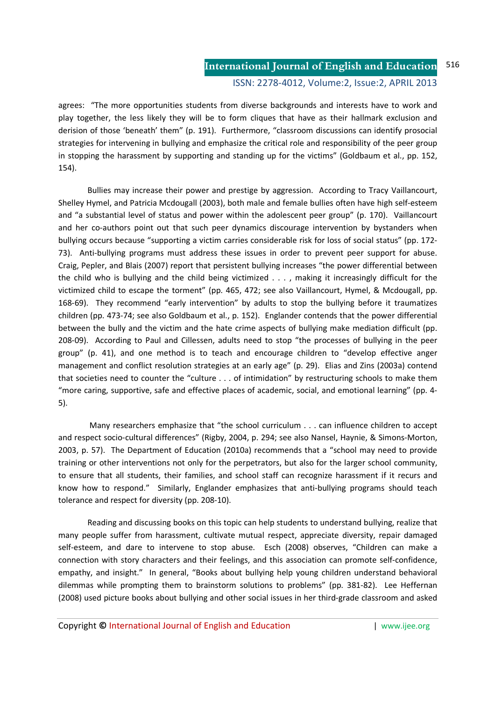agrees: "The more opportunities students from diverse backgrounds and interests have to work and play together, the less likely they will be to form cliques that have as their hallmark exclusion and derision of those 'beneath' them" (p. 191). Furthermore, "classroom discussions can identify prosocial strategies for intervening in bullying and emphasize the critical role and responsibility of the peer group in stopping the harassment by supporting and standing up for the victims" (Goldbaum et al., pp. 152, 154).

Bullies may increase their power and prestige by aggression. According to Tracy Vaillancourt, Shelley Hymel, and Patricia Mcdougall (2003), both male and female bullies often have high self-esteem and "a substantial level of status and power within the adolescent peer group" (p. 170). Vaillancourt and her co-authors point out that such peer dynamics discourage intervention by bystanders when bullying occurs because "supporting a victim carries considerable risk for loss of social status" (pp. 172- 73). Anti-bullying programs must address these issues in order to prevent peer support for abuse. Craig, Pepler, and Blais (2007) report that persistent bullying increases "the power differential between the child who is bullying and the child being victimized . . . , making it increasingly difficult for the victimized child to escape the torment" (pp. 465, 472; see also Vaillancourt, Hymel, & Mcdougall, pp. 168-69). They recommend "early intervention" by adults to stop the bullying before it traumatizes children (pp. 473-74; see also Goldbaum et al., p. 152). Englander contends that the power differential between the bully and the victim and the hate crime aspects of bullying make mediation difficult (pp. 208-09). According to Paul and Cillessen, adults need to stop "the processes of bullying in the peer group" (p. 41), and one method is to teach and encourage children to "develop effective anger management and conflict resolution strategies at an early age" (p. 29). Elias and Zins (2003a) contend that societies need to counter the "culture . . . of intimidation" by restructuring schools to make them "more caring, supportive, safe and effective places of academic, social, and emotional learning" (pp. 4- 5).

 Many researchers emphasize that "the school curriculum . . . can influence children to accept and respect socio-cultural differences" (Rigby, 2004, p. 294; see also Nansel, Haynie, & Simons-Morton, 2003, p. 57). The Department of Education (2010a) recommends that a "school may need to provide training or other interventions not only for the perpetrators, but also for the larger school community, to ensure that all students, their families, and school staff can recognize harassment if it recurs and know how to respond." Similarly, Englander emphasizes that anti-bullying programs should teach tolerance and respect for diversity (pp. 208-10).

Reading and discussing books on this topic can help students to understand bullying, realize that many people suffer from harassment, cultivate mutual respect, appreciate diversity, repair damaged self-esteem, and dare to intervene to stop abuse. Esch (2008) observes, "Children can make a connection with story characters and their feelings, and this association can promote self-confidence, empathy, and insight." In general, "Books about bullying help young children understand behavioral dilemmas while prompting them to brainstorm solutions to problems" (pp. 381-82). Lee Heffernan (2008) used picture books about bullying and other social issues in her third-grade classroom and asked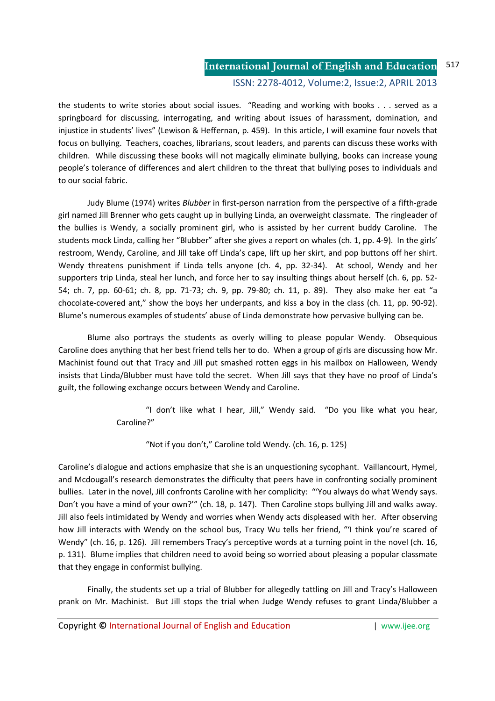the students to write stories about social issues. "Reading and working with books . . . served as a springboard for discussing, interrogating, and writing about issues of harassment, domination, and injustice in students' lives" (Lewison & Heffernan, p. 459). In this article, I will examine four novels that focus on bullying. Teachers, coaches, librarians, scout leaders, and parents can discuss these works with children. While discussing these books will not magically eliminate bullying, books can increase young people's tolerance of differences and alert children to the threat that bullying poses to individuals and to our social fabric.

 Judy Blume (1974) writes *Blubber* in first-person narration from the perspective of a fifth-grade girl named Jill Brenner who gets caught up in bullying Linda, an overweight classmate. The ringleader of the bullies is Wendy, a socially prominent girl, who is assisted by her current buddy Caroline. The students mock Linda, calling her "Blubber" after she gives a report on whales (ch. 1, pp. 4-9). In the girls' restroom, Wendy, Caroline, and Jill take off Linda's cape, lift up her skirt, and pop buttons off her shirt. Wendy threatens punishment if Linda tells anyone (ch. 4, pp. 32-34). At school, Wendy and her supporters trip Linda, steal her lunch, and force her to say insulting things about herself (ch. 6, pp. 52- 54; ch. 7, pp. 60-61; ch. 8, pp. 71-73; ch. 9, pp. 79-80; ch. 11, p. 89). They also make her eat "a chocolate-covered ant," show the boys her underpants, and kiss a boy in the class (ch. 11, pp. 90-92). Blume's numerous examples of students' abuse of Linda demonstrate how pervasive bullying can be.

Blume also portrays the students as overly willing to please popular Wendy. Obsequious Caroline does anything that her best friend tells her to do. When a group of girls are discussing how Mr. Machinist found out that Tracy and Jill put smashed rotten eggs in his mailbox on Halloween, Wendy insists that Linda/Blubber must have told the secret. When Jill says that they have no proof of Linda's guilt, the following exchange occurs between Wendy and Caroline.

> "I don't like what I hear, Jill," Wendy said. "Do you like what you hear, Caroline?"

"Not if you don't," Caroline told Wendy. (ch. 16, p. 125)

Caroline's dialogue and actions emphasize that she is an unquestioning sycophant. Vaillancourt, Hymel, and Mcdougall's research demonstrates the difficulty that peers have in confronting socially prominent bullies. Later in the novel, Jill confronts Caroline with her complicity: "ʻYou always do what Wendy says. Don't you have a mind of your own?'" (ch. 18, p. 147). Then Caroline stops bullying Jill and walks away. Jill also feels intimidated by Wendy and worries when Wendy acts displeased with her. After observing how Jill interacts with Wendy on the school bus, Tracy Wu tells her friend, "ʻI think you're scared of Wendy" (ch. 16, p. 126). Jill remembers Tracy's perceptive words at a turning point in the novel (ch. 16, p. 131). Blume implies that children need to avoid being so worried about pleasing a popular classmate that they engage in conformist bullying.

Finally, the students set up a trial of Blubber for allegedly tattling on Jill and Tracy's Halloween prank on Mr. Machinist. But Jill stops the trial when Judge Wendy refuses to grant Linda/Blubber a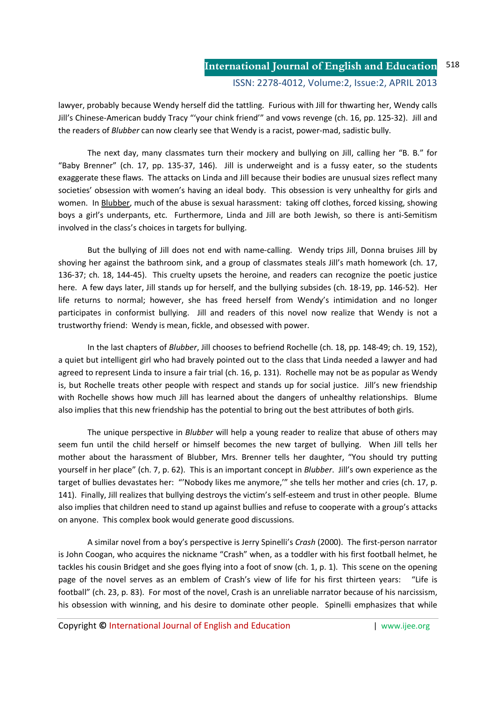lawyer, probably because Wendy herself did the tattling. Furious with Jill for thwarting her, Wendy calls Jill's Chinese-American buddy Tracy "ʻyour chink friend'" and vows revenge (ch. 16, pp. 125-32). Jill and the readers of *Blubber* can now clearly see that Wendy is a racist, power-mad, sadistic bully.

 The next day, many classmates turn their mockery and bullying on Jill, calling her "B. B." for "Baby Brenner" (ch. 17, pp. 135-37, 146). Jill is underweight and is a fussy eater, so the students exaggerate these flaws. The attacks on Linda and Jill because their bodies are unusual sizes reflect many societies' obsession with women's having an ideal body. This obsession is very unhealthy for girls and women. In Blubber, much of the abuse is sexual harassment: taking off clothes, forced kissing, showing boys a girl's underpants, etc. Furthermore, Linda and Jill are both Jewish, so there is anti-Semitism involved in the class's choices in targets for bullying.

But the bullying of Jill does not end with name-calling. Wendy trips Jill, Donna bruises Jill by shoving her against the bathroom sink, and a group of classmates steals Jill's math homework (ch. 17, 136-37; ch. 18, 144-45). This cruelty upsets the heroine, and readers can recognize the poetic justice here. A few days later, Jill stands up for herself, and the bullying subsides (ch. 18-19, pp. 146-52). Her life returns to normal; however, she has freed herself from Wendy's intimidation and no longer participates in conformist bullying. Jill and readers of this novel now realize that Wendy is not a trustworthy friend: Wendy is mean, fickle, and obsessed with power.

In the last chapters of *Blubber*, Jill chooses to befriend Rochelle (ch. 18, pp. 148-49; ch. 19, 152), a quiet but intelligent girl who had bravely pointed out to the class that Linda needed a lawyer and had agreed to represent Linda to insure a fair trial (ch. 16, p. 131). Rochelle may not be as popular as Wendy is, but Rochelle treats other people with respect and stands up for social justice. Jill's new friendship with Rochelle shows how much Jill has learned about the dangers of unhealthy relationships. Blume also implies that this new friendship has the potential to bring out the best attributes of both girls.

 The unique perspective in *Blubber* will help a young reader to realize that abuse of others may seem fun until the child herself or himself becomes the new target of bullying. When Jill tells her mother about the harassment of Blubber, Mrs. Brenner tells her daughter, "You should try putting yourself in her place" (ch. 7, p. 62). This is an important concept in *Blubber*. Jill's own experience as the target of bullies devastates her: "'Nobody likes me anymore,'" she tells her mother and cries (ch. 17, p. 141). Finally, Jill realizes that bullying destroys the victim's self-esteem and trust in other people. Blume also implies that children need to stand up against bullies and refuse to cooperate with a group's attacks on anyone. This complex book would generate good discussions.

 A similar novel from a boy's perspective is Jerry Spinelli's *Crash* (2000). The first-person narrator is John Coogan, who acquires the nickname "Crash" when, as a toddler with his first football helmet, he tackles his cousin Bridget and she goes flying into a foot of snow (ch. 1, p. 1). This scene on the opening page of the novel serves as an emblem of Crash's view of life for his first thirteen years: "Life is football" (ch. 23, p. 83). For most of the novel, Crash is an unreliable narrator because of his narcissism, his obsession with winning, and his desire to dominate other people. Spinelli emphasizes that while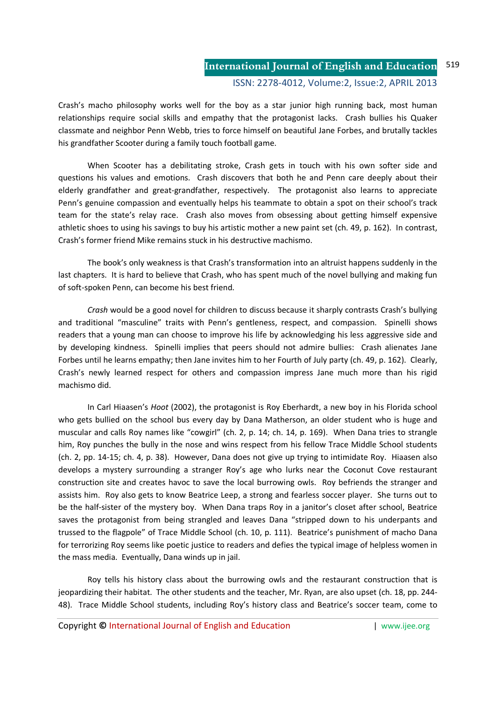Crash's macho philosophy works well for the boy as a star junior high running back, most human relationships require social skills and empathy that the protagonist lacks. Crash bullies his Quaker classmate and neighbor Penn Webb, tries to force himself on beautiful Jane Forbes, and brutally tackles his grandfather Scooter during a family touch football game.

When Scooter has a debilitating stroke, Crash gets in touch with his own softer side and questions his values and emotions. Crash discovers that both he and Penn care deeply about their elderly grandfather and great-grandfather, respectively. The protagonist also learns to appreciate Penn's genuine compassion and eventually helps his teammate to obtain a spot on their school's track team for the state's relay race. Crash also moves from obsessing about getting himself expensive athletic shoes to using his savings to buy his artistic mother a new paint set (ch. 49, p. 162). In contrast, Crash's former friend Mike remains stuck in his destructive machismo.

The book's only weakness is that Crash's transformation into an altruist happens suddenly in the last chapters. It is hard to believe that Crash, who has spent much of the novel bullying and making fun of soft-spoken Penn, can become his best friend.

*Crash* would be a good novel for children to discuss because it sharply contrasts Crash's bullying and traditional "masculine" traits with Penn's gentleness, respect, and compassion. Spinelli shows readers that a young man can choose to improve his life by acknowledging his less aggressive side and by developing kindness. Spinelli implies that peers should not admire bullies: Crash alienates Jane Forbes until he learns empathy; then Jane invites him to her Fourth of July party (ch. 49, p. 162). Clearly, Crash's newly learned respect for others and compassion impress Jane much more than his rigid machismo did.

 In Carl Hiaasen's *Hoot* (2002), the protagonist is Roy Eberhardt, a new boy in his Florida school who gets bullied on the school bus every day by Dana Matherson, an older student who is huge and muscular and calls Roy names like "cowgirl" (ch. 2, p. 14; ch. 14, p. 169). When Dana tries to strangle him, Roy punches the bully in the nose and wins respect from his fellow Trace Middle School students (ch. 2, pp. 14-15; ch. 4, p. 38). However, Dana does not give up trying to intimidate Roy. Hiaasen also develops a mystery surrounding a stranger Roy's age who lurks near the Coconut Cove restaurant construction site and creates havoc to save the local burrowing owls. Roy befriends the stranger and assists him. Roy also gets to know Beatrice Leep, a strong and fearless soccer player. She turns out to be the half-sister of the mystery boy. When Dana traps Roy in a janitor's closet after school, Beatrice saves the protagonist from being strangled and leaves Dana "stripped down to his underpants and trussed to the flagpole" of Trace Middle School (ch. 10, p. 111). Beatrice's punishment of macho Dana for terrorizing Roy seems like poetic justice to readers and defies the typical image of helpless women in the mass media. Eventually, Dana winds up in jail.

 Roy tells his history class about the burrowing owls and the restaurant construction that is jeopardizing their habitat. The other students and the teacher, Mr. Ryan, are also upset (ch. 18, pp. 244- 48). Trace Middle School students, including Roy's history class and Beatrice's soccer team, come to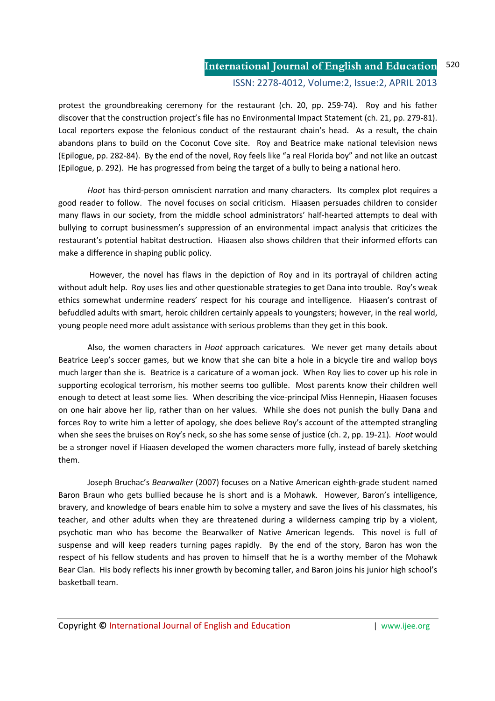protest the groundbreaking ceremony for the restaurant (ch. 20, pp. 259-74). Roy and his father discover that the construction project's file has no Environmental Impact Statement (ch. 21, pp. 279-81). Local reporters expose the felonious conduct of the restaurant chain's head. As a result, the chain abandons plans to build on the Coconut Cove site. Roy and Beatrice make national television news (Epilogue, pp. 282-84). By the end of the novel, Roy feels like "a real Florida boy" and not like an outcast (Epilogue, p. 292). He has progressed from being the target of a bully to being a national hero.

*Hoot* has third-person omniscient narration and many characters. Its complex plot requires a good reader to follow. The novel focuses on social criticism. Hiaasen persuades children to consider many flaws in our society, from the middle school administrators' half-hearted attempts to deal with bullying to corrupt businessmen's suppression of an environmental impact analysis that criticizes the restaurant's potential habitat destruction. Hiaasen also shows children that their informed efforts can make a difference in shaping public policy.

 However, the novel has flaws in the depiction of Roy and in its portrayal of children acting without adult help. Roy uses lies and other questionable strategies to get Dana into trouble. Roy's weak ethics somewhat undermine readers' respect for his courage and intelligence. Hiaasen's contrast of befuddled adults with smart, heroic children certainly appeals to youngsters; however, in the real world, young people need more adult assistance with serious problems than they get in this book.

 Also, the women characters in *Hoot* approach caricatures. We never get many details about Beatrice Leep's soccer games, but we know that she can bite a hole in a bicycle tire and wallop boys much larger than she is. Beatrice is a caricature of a woman jock. When Roy lies to cover up his role in supporting ecological terrorism, his mother seems too gullible. Most parents know their children well enough to detect at least some lies. When describing the vice-principal Miss Hennepin, Hiaasen focuses on one hair above her lip, rather than on her values. While she does not punish the bully Dana and forces Roy to write him a letter of apology, she does believe Roy's account of the attempted strangling when she sees the bruises on Roy's neck, so she has some sense of justice (ch. 2, pp. 19-21). *Hoot* would be a stronger novel if Hiaasen developed the women characters more fully, instead of barely sketching them.

 Joseph Bruchac's *Bearwalker* (2007) focuses on a Native American eighth-grade student named Baron Braun who gets bullied because he is short and is a Mohawk. However, Baron's intelligence, bravery, and knowledge of bears enable him to solve a mystery and save the lives of his classmates, his teacher, and other adults when they are threatened during a wilderness camping trip by a violent, psychotic man who has become the Bearwalker of Native American legends. This novel is full of suspense and will keep readers turning pages rapidly. By the end of the story, Baron has won the respect of his fellow students and has proven to himself that he is a worthy member of the Mohawk Bear Clan. His body reflects his inner growth by becoming taller, and Baron joins his junior high school's basketball team.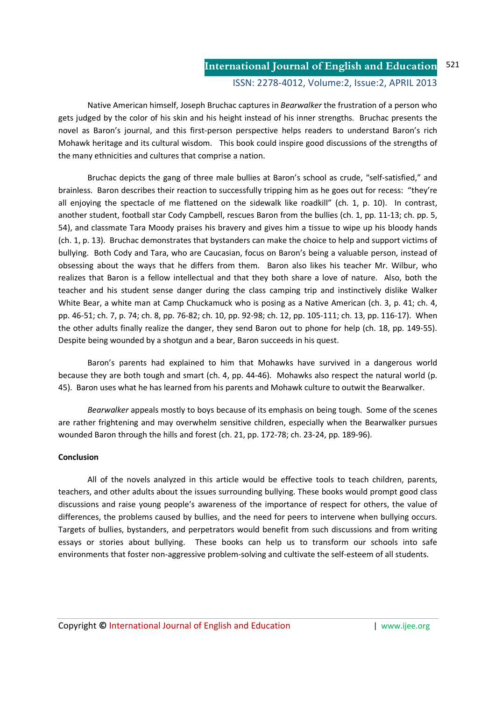Native American himself, Joseph Bruchac captures in *Bearwalker* the frustration of a person who gets judged by the color of his skin and his height instead of his inner strengths. Bruchac presents the novel as Baron's journal, and this first-person perspective helps readers to understand Baron's rich Mohawk heritage and its cultural wisdom. This book could inspire good discussions of the strengths of the many ethnicities and cultures that comprise a nation.

 Bruchac depicts the gang of three male bullies at Baron's school as crude, "self-satisfied," and brainless. Baron describes their reaction to successfully tripping him as he goes out for recess: "they're all enjoying the spectacle of me flattened on the sidewalk like roadkill" (ch. 1, p. 10). In contrast, another student, football star Cody Campbell, rescues Baron from the bullies (ch. 1, pp. 11-13; ch. pp. 5, 54), and classmate Tara Moody praises his bravery and gives him a tissue to wipe up his bloody hands (ch. 1, p. 13). Bruchac demonstrates that bystanders can make the choice to help and support victims of bullying. Both Cody and Tara, who are Caucasian, focus on Baron's being a valuable person, instead of obsessing about the ways that he differs from them. Baron also likes his teacher Mr. Wilbur, who realizes that Baron is a fellow intellectual and that they both share a love of nature. Also, both the teacher and his student sense danger during the class camping trip and instinctively dislike Walker White Bear, a white man at Camp Chuckamuck who is posing as a Native American (ch. 3, p. 41; ch. 4, pp. 46-51; ch. 7, p. 74; ch. 8, pp. 76-82; ch. 10, pp. 92-98; ch. 12, pp. 105-111; ch. 13, pp. 116-17). When the other adults finally realize the danger, they send Baron out to phone for help (ch. 18, pp. 149-55). Despite being wounded by a shotgun and a bear, Baron succeeds in his quest.

 Baron's parents had explained to him that Mohawks have survived in a dangerous world because they are both tough and smart (ch. 4, pp. 44-46). Mohawks also respect the natural world (p. 45). Baron uses what he has learned from his parents and Mohawk culture to outwit the Bearwalker.

*Bearwalker* appeals mostly to boys because of its emphasis on being tough. Some of the scenes are rather frightening and may overwhelm sensitive children, especially when the Bearwalker pursues wounded Baron through the hills and forest (ch. 21, pp. 172-78; ch. 23-24, pp. 189-96).

### **Conclusion**

All of the novels analyzed in this article would be effective tools to teach children, parents, teachers, and other adults about the issues surrounding bullying. These books would prompt good class discussions and raise young people's awareness of the importance of respect for others, the value of differences, the problems caused by bullies, and the need for peers to intervene when bullying occurs. Targets of bullies, bystanders, and perpetrators would benefit from such discussions and from writing essays or stories about bullying. These books can help us to transform our schools into safe environments that foster non-aggressive problem-solving and cultivate the self-esteem of all students.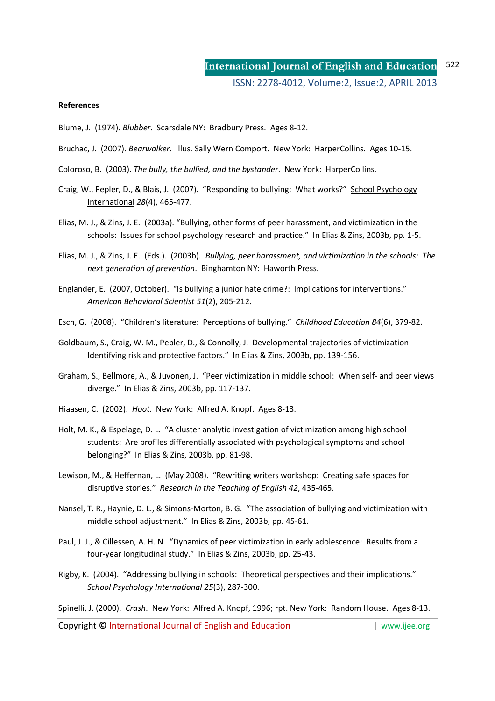#### **References**

- Blume, J. (1974). *Blubber*. Scarsdale NY: Bradbury Press. Ages 8-12.
- Bruchac, J. (2007). *Bearwalker*. Illus. Sally Wern Comport. New York: HarperCollins. Ages 10-15.
- Coloroso, B. (2003). *The bully, the bullied, and the bystander*. New York: HarperCollins.
- Craig, W., Pepler, D., & Blais, J. (2007). "Responding to bullying: What works?" School Psychology International *28*(4), 465-477.
- Elias, M. J., & Zins, J. E. (2003a). "Bullying, other forms of peer harassment, and victimization in the schools: Issues for school psychology research and practice." In Elias & Zins, 2003b, pp. 1-5.
- Elias, M. J., & Zins, J. E. (Eds.). (2003b). *Bullying, peer harassment, and victimization in the schools: The next generation of prevention*. Binghamton NY: Haworth Press.
- Englander, E. (2007, October). "Is bullying a junior hate crime?: Implications for interventions." *American Behavioral Scientist 51*(2), 205-212.
- Esch, G. (2008). "Children's literature: Perceptions of bullying." *Childhood Education 84*(6), 379-82.
- Goldbaum, S., Craig, W. M., Pepler, D., & Connolly, J. Developmental trajectories of victimization: Identifying risk and protective factors." In Elias & Zins, 2003b, pp. 139-156.
- Graham, S., Bellmore, A., & Juvonen, J. "Peer victimization in middle school: When self- and peer views diverge." In Elias & Zins, 2003b, pp. 117-137.
- Hiaasen, C. (2002). *Hoot*. New York: Alfred A. Knopf. Ages 8-13.
- Holt, M. K., & Espelage, D. L. "A cluster analytic investigation of victimization among high school students: Are profiles differentially associated with psychological symptoms and school belonging?" In Elias & Zins, 2003b, pp. 81-98.
- Lewison, M., & Heffernan, L. (May 2008). "Rewriting writers workshop: Creating safe spaces for disruptive stories." *Research in the Teaching of English 42*, 435-465.
- Nansel, T. R., Haynie, D. L., & Simons-Morton, B. G. "The association of bullying and victimization with middle school adjustment." In Elias & Zins, 2003b, pp. 45-61.
- Paul, J. J., & Cillessen, A. H. N. "Dynamics of peer victimization in early adolescence: Results from a four-year longitudinal study." In Elias & Zins, 2003b, pp. 25-43.
- Rigby, K. (2004). "Addressing bullying in schools: Theoretical perspectives and their implications." *School Psychology International 25*(3), 287-300.

Spinelli, J. (2000). *Crash*. New York: Alfred A. Knopf, 1996; rpt. New York: Random House. Ages 8-13.

Copyright **©** International Journal of English and Education | www.ijee.org